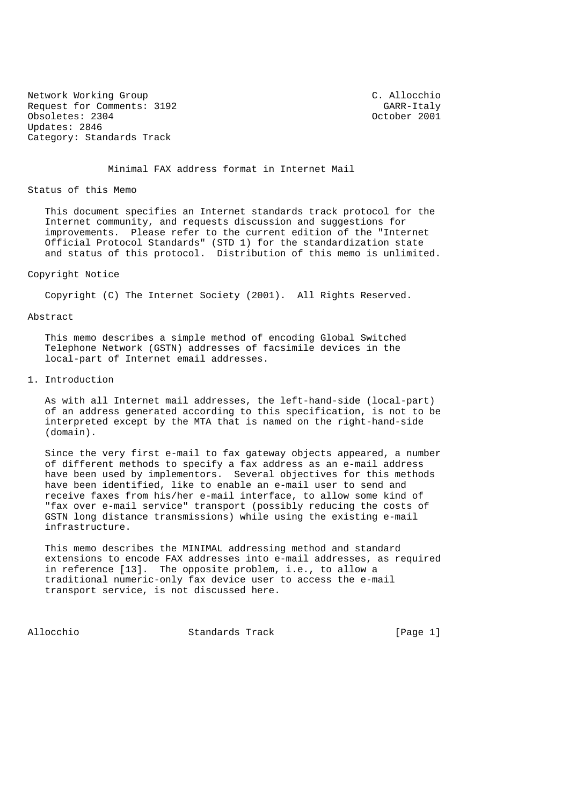Network Working Group C. Allocchio Request for Comments: 3192 GARR-Italy<br>
Cobsoletes: 2304 GARR-1001 Obsoletes: 2304 Updates: 2846 Category: Standards Track

Minimal FAX address format in Internet Mail

Status of this Memo

 This document specifies an Internet standards track protocol for the Internet community, and requests discussion and suggestions for improvements. Please refer to the current edition of the "Internet Official Protocol Standards" (STD 1) for the standardization state and status of this protocol. Distribution of this memo is unlimited.

## Copyright Notice

Copyright (C) The Internet Society (2001). All Rights Reserved.

## Abstract

 This memo describes a simple method of encoding Global Switched Telephone Network (GSTN) addresses of facsimile devices in the local-part of Internet email addresses.

## 1. Introduction

 As with all Internet mail addresses, the left-hand-side (local-part) of an address generated according to this specification, is not to be interpreted except by the MTA that is named on the right-hand-side (domain).

 Since the very first e-mail to fax gateway objects appeared, a number of different methods to specify a fax address as an e-mail address have been used by implementors. Several objectives for this methods have been identified, like to enable an e-mail user to send and receive faxes from his/her e-mail interface, to allow some kind of "fax over e-mail service" transport (possibly reducing the costs of GSTN long distance transmissions) while using the existing e-mail infrastructure.

 This memo describes the MINIMAL addressing method and standard extensions to encode FAX addresses into e-mail addresses, as required in reference [13]. The opposite problem, i.e., to allow a traditional numeric-only fax device user to access the e-mail transport service, is not discussed here.

Allocchio Standards Track [Page 1]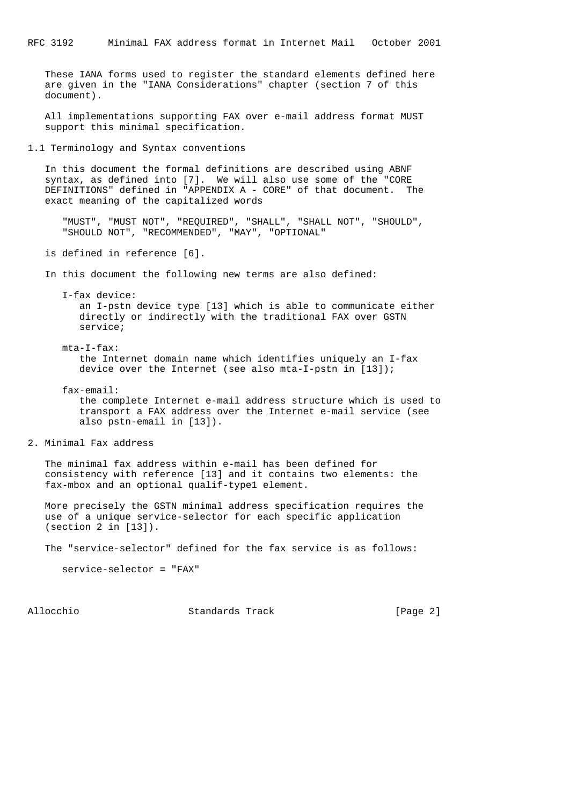These IANA forms used to register the standard elements defined here are given in the "IANA Considerations" chapter (section 7 of this document).

 All implementations supporting FAX over e-mail address format MUST support this minimal specification.

1.1 Terminology and Syntax conventions

 In this document the formal definitions are described using ABNF syntax, as defined into [7]. We will also use some of the "CORE DEFINITIONS" defined in "APPENDIX A - CORE" of that document. The exact meaning of the capitalized words

 "MUST", "MUST NOT", "REQUIRED", "SHALL", "SHALL NOT", "SHOULD", "SHOULD NOT", "RECOMMENDED", "MAY", "OPTIONAL"

is defined in reference [6].

In this document the following new terms are also defined:

 I-fax device: an I-pstn device type [13] which is able to communicate either directly or indirectly with the traditional FAX over GSTN service;

 mta-I-fax: the Internet domain name which identifies uniquely an I-fax device over the Internet (see also mta-I-pstn in [13]);

 fax-email: the complete Internet e-mail address structure which is used to transport a FAX address over the Internet e-mail service (see also pstn-email in [13]).

2. Minimal Fax address

 The minimal fax address within e-mail has been defined for consistency with reference [13] and it contains two elements: the fax-mbox and an optional qualif-type1 element.

 More precisely the GSTN minimal address specification requires the use of a unique service-selector for each specific application (section 2 in [13]).

The "service-selector" defined for the fax service is as follows:

service-selector = "FAX"

Allocchio Standards Track [Page 2]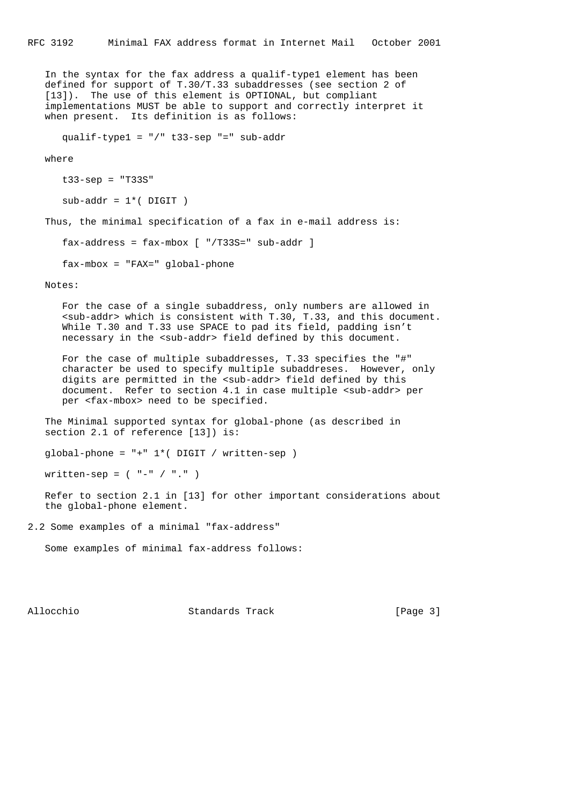In the syntax for the fax address a qualif-type1 element has been defined for support of T.30/T.33 subaddresses (see section 2 of [13]). The use of this element is OPTIONAL, but compliant implementations MUST be able to support and correctly interpret it when present. Its definition is as follows:

qualif-type1 = "/" t33-sep "=" sub-addr

where

```
 t33-sep = "T33S"
```
 $sub-addr = 1*($  DIGIT  $)$ 

Thus, the minimal specification of a fax in e-mail address is:

fax-address = fax-mbox [ "/T33S=" sub-addr ]

fax-mbox = "FAX=" global-phone

Notes:

 For the case of a single subaddress, only numbers are allowed in <sub-addr> which is consistent with T.30, T.33, and this document. While T.30 and T.33 use SPACE to pad its field, padding isn't necessary in the <sub-addr> field defined by this document.

 For the case of multiple subaddresses, T.33 specifies the "#" character be used to specify multiple subaddreses. However, only digits are permitted in the <sub-addr> field defined by this document. Refer to section 4.1 in case multiple <sub-addr> per per <fax-mbox> need to be specified.

 The Minimal supported syntax for global-phone (as described in section 2.1 of reference [13]) is:

```
 global-phone = "+" 1*( DIGIT / written-sep )
```
written-sep = ( "-" / "." )

 Refer to section 2.1 in [13] for other important considerations about the global-phone element.

2.2 Some examples of a minimal "fax-address"

```
 Some examples of minimal fax-address follows:
```
Allocchio Standards Track [Page 3]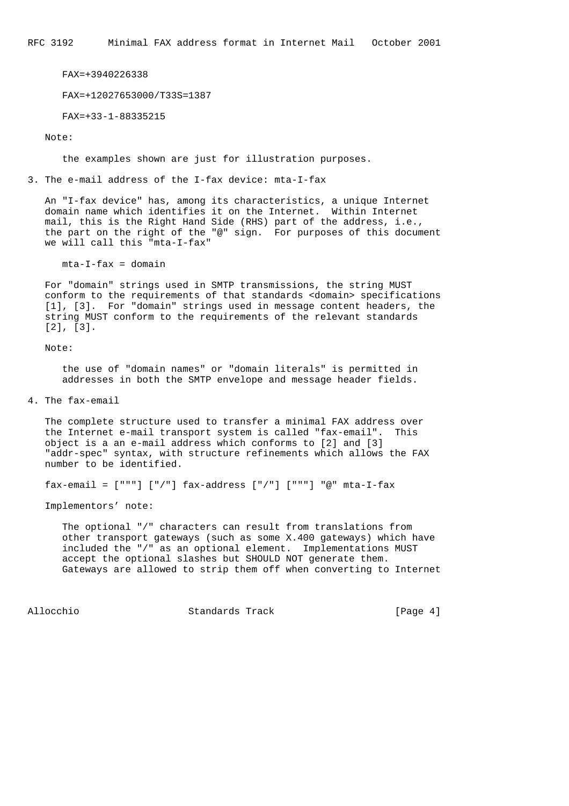RFC 3192 Minimal FAX address format in Internet Mail October 2001

FAX=+3940226338

FAX=+12027653000/T33S=1387

FAX=+33-1-88335215

Note:

the examples shown are just for illustration purposes.

3. The e-mail address of the I-fax device: mta-I-fax

 An "I-fax device" has, among its characteristics, a unique Internet domain name which identifies it on the Internet. Within Internet mail, this is the Right Hand Side (RHS) part of the address, i.e., the part on the right of the "@" sign. For purposes of this document we will call this "mta-I-fax"

 $mta-I-fax = domain$ 

 For "domain" strings used in SMTP transmissions, the string MUST conform to the requirements of that standards <domain> specifications [1], [3]. For "domain" strings used in message content headers, the string MUST conform to the requirements of the relevant standards [2], [3].

Note:

 the use of "domain names" or "domain literals" is permitted in addresses in both the SMTP envelope and message header fields.

4. The fax-email

 The complete structure used to transfer a minimal FAX address over the Internet e-mail transport system is called "fax-email". This object is a an e-mail address which conforms to [2] and [3] "addr-spec" syntax, with structure refinements which allows the FAX number to be identified.

fax-email =  $["""] ['']$  fax-address  $["/"] ["""]$   $["""]$   $@"$  mta-I-fax

Implementors' note:

 The optional "/" characters can result from translations from other transport gateways (such as some X.400 gateways) which have included the "/" as an optional element. Implementations MUST accept the optional slashes but SHOULD NOT generate them. Gateways are allowed to strip them off when converting to Internet

Allocchio Standards Track [Page 4]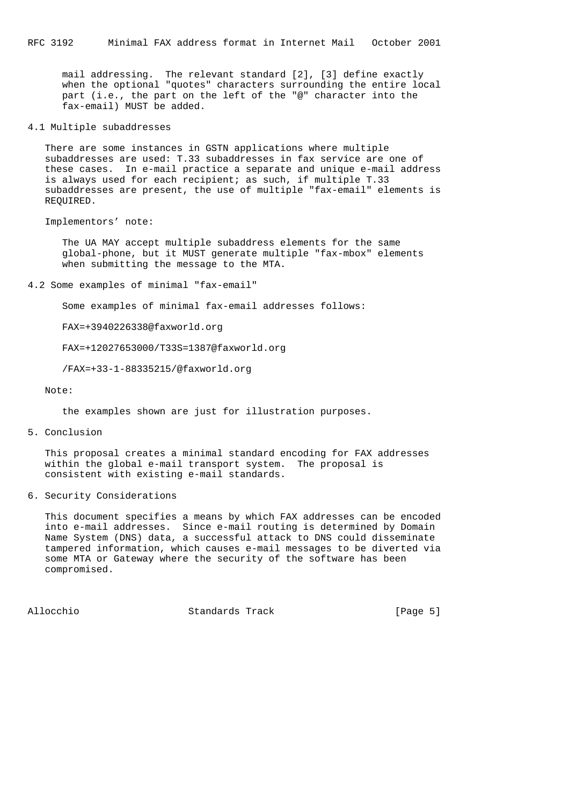mail addressing. The relevant standard [2], [3] define exactly when the optional "quotes" characters surrounding the entire local part (i.e., the part on the left of the "@" character into the fax-email) MUST be added.

4.1 Multiple subaddresses

 There are some instances in GSTN applications where multiple subaddresses are used: T.33 subaddresses in fax service are one of these cases. In e-mail practice a separate and unique e-mail address is always used for each recipient; as such, if multiple T.33 subaddresses are present, the use of multiple "fax-email" elements is REQUIRED.

Implementors' note:

 The UA MAY accept multiple subaddress elements for the same global-phone, but it MUST generate multiple "fax-mbox" elements when submitting the message to the MTA.

4.2 Some examples of minimal "fax-email"

Some examples of minimal fax-email addresses follows:

FAX=+3940226338@faxworld.org

FAX=+12027653000/T33S=1387@faxworld.org

/FAX=+33-1-88335215/@faxworld.org

Note:

the examples shown are just for illustration purposes.

5. Conclusion

 This proposal creates a minimal standard encoding for FAX addresses within the global e-mail transport system. The proposal is consistent with existing e-mail standards.

6. Security Considerations

 This document specifies a means by which FAX addresses can be encoded into e-mail addresses. Since e-mail routing is determined by Domain Name System (DNS) data, a successful attack to DNS could disseminate tampered information, which causes e-mail messages to be diverted via some MTA or Gateway where the security of the software has been compromised.

Allocchio Standards Track [Page 5]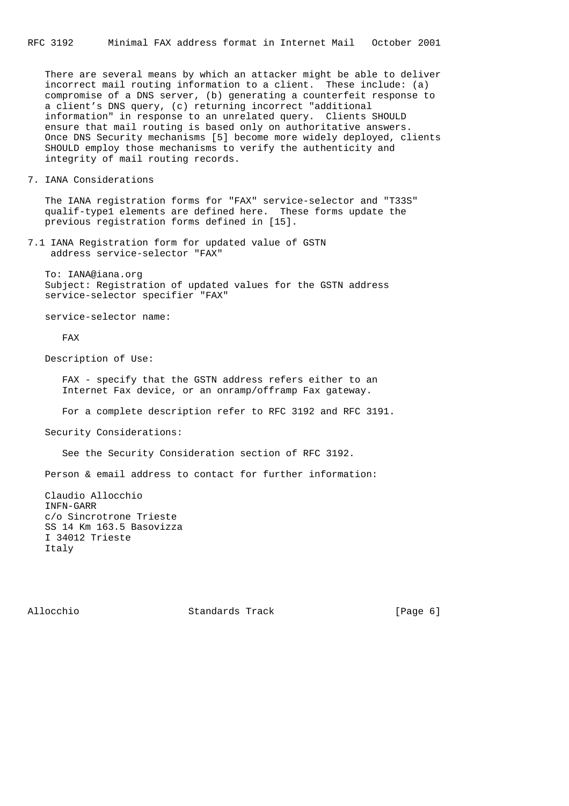There are several means by which an attacker might be able to deliver incorrect mail routing information to a client. These include: (a) compromise of a DNS server, (b) generating a counterfeit response to a client's DNS query, (c) returning incorrect "additional information" in response to an unrelated query. Clients SHOULD ensure that mail routing is based only on authoritative answers. Once DNS Security mechanisms [5] become more widely deployed, clients SHOULD employ those mechanisms to verify the authenticity and integrity of mail routing records.

7. IANA Considerations

 The IANA registration forms for "FAX" service-selector and "T33S" qualif-type1 elements are defined here. These forms update the previous registration forms defined in [15].

7.1 IANA Registration form for updated value of GSTN address service-selector "FAX"

 To: IANA@iana.org Subject: Registration of updated values for the GSTN address service-selector specifier "FAX"

service-selector name:

FAX

Description of Use:

FAX - specify that the GSTN address refers either to an Internet Fax device, or an onramp/offramp Fax gateway.

For a complete description refer to RFC 3192 and RFC 3191.

Security Considerations:

See the Security Consideration section of RFC 3192.

Person & email address to contact for further information:

 Claudio Allocchio INFN-GARR c/o Sincrotrone Trieste SS 14 Km 163.5 Basovizza I 34012 Trieste Italy

Allocchio Standards Track [Page 6]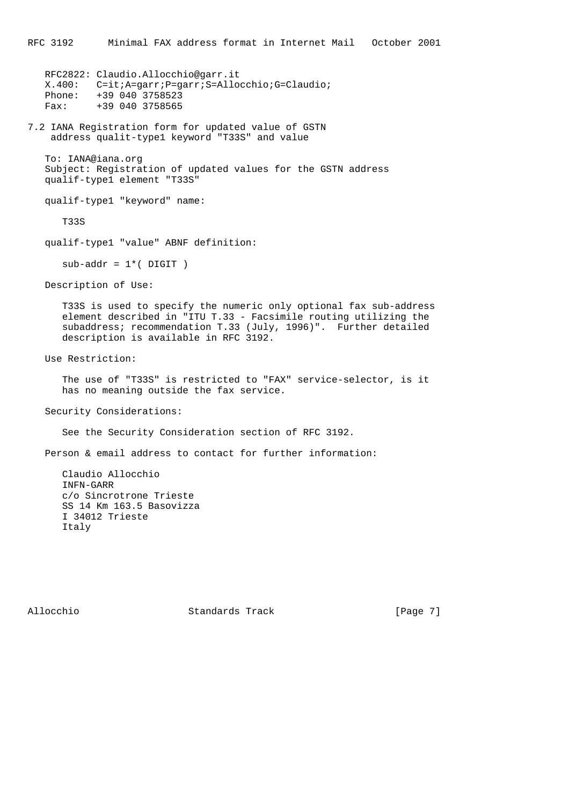RFC2822: Claudio.Allocchio@garr.it X.400: C=it;A=garr;P=garr;S=Allocchio;G=Claudio; Phone: +39 040 3758523 Fax: +39 040 3758565

7.2 IANA Registration form for updated value of GSTN address qualit-type1 keyword "T33S" and value

 To: IANA@iana.org Subject: Registration of updated values for the GSTN address qualif-type1 element "T33S"

qualif-type1 "keyword" name:

T33S

qualif-type1 "value" ABNF definition:

 $sub-addr = 1*($  DIGIT  $)$ 

Description of Use:

 T33S is used to specify the numeric only optional fax sub-address element described in "ITU T.33 - Facsimile routing utilizing the subaddress; recommendation T.33 (July, 1996)". Further detailed description is available in RFC 3192.

Use Restriction:

 The use of "T33S" is restricted to "FAX" service-selector, is it has no meaning outside the fax service.

Security Considerations:

See the Security Consideration section of RFC 3192.

Person & email address to contact for further information:

 Claudio Allocchio INFN-GARR c/o Sincrotrone Trieste SS 14 Km 163.5 Basovizza I 34012 Trieste Italy

Allocchio Standards Track [Page 7]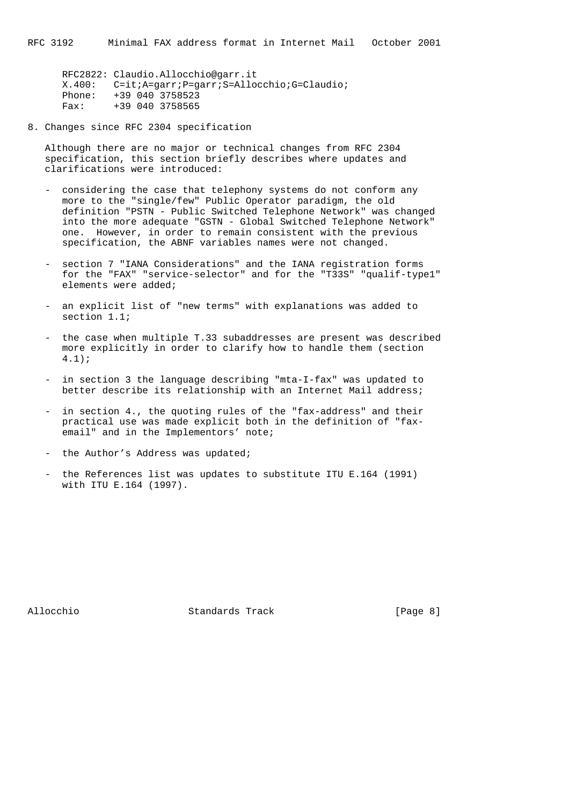RFC2822: Claudio.Allocchio@garr.it X.400: C=it;A=garr;P=garr;S=Allocchio;G=Claudio; Phone: +39 040 3758523 Fridric - 22<br>Fax: +39 040 3758565

8. Changes since RFC 2304 specification

 Although there are no major or technical changes from RFC 2304 specification, this section briefly describes where updates and clarifications were introduced:

- considering the case that telephony systems do not conform any more to the "single/few" Public Operator paradigm, the old definition "PSTN - Public Switched Telephone Network" was changed into the more adequate "GSTN - Global Switched Telephone Network" one. However, in order to remain consistent with the previous specification, the ABNF variables names were not changed.
- section 7 "IANA Considerations" and the IANA registration forms for the "FAX" "service-selector" and for the "T33S" "qualif-type1" elements were added;
- an explicit list of "new terms" with explanations was added to section 1.1;
- the case when multiple T.33 subaddresses are present was described more explicitly in order to clarify how to handle them (section 4.1);
- in section 3 the language describing "mta-I-fax" was updated to better describe its relationship with an Internet Mail address;
- in section 4., the quoting rules of the "fax-address" and their practical use was made explicit both in the definition of "fax email" and in the Implementors' note;
- the Author's Address was updated;
- the References list was updates to substitute ITU E.164 (1991) with ITU E.164 (1997).

Allocchio Standards Track [Page 8]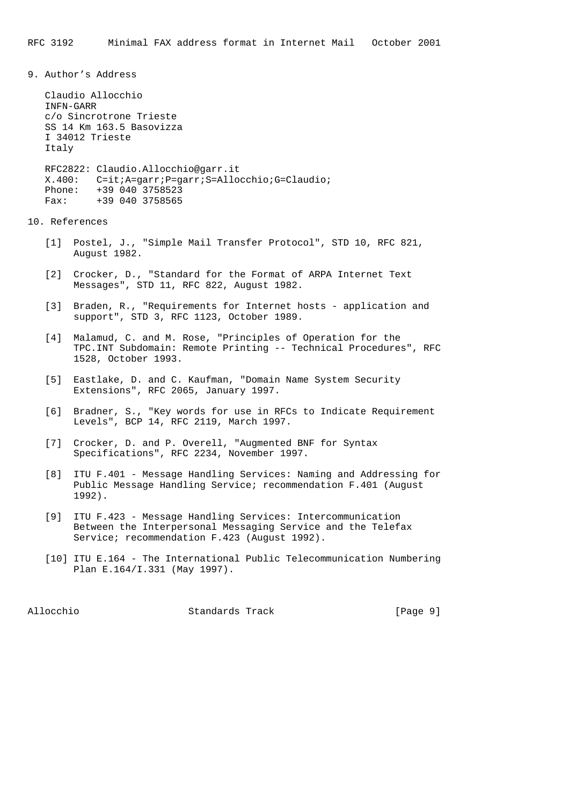9. Author's Address

 Claudio Allocchio INFN-GARR c/o Sincrotrone Trieste SS 14 Km 163.5 Basovizza I 34012 Trieste Italy RFC2822: Claudio.Allocchio@garr.it X.400: C=it;A=garr;P=garr;S=Allocchio;G=Claudio; Phone: +39 040 3758523 Fax: +39 040 3758565

## 10. References

- [1] Postel, J., "Simple Mail Transfer Protocol", STD 10, RFC 821, August 1982.
- [2] Crocker, D., "Standard for the Format of ARPA Internet Text Messages", STD 11, RFC 822, August 1982.
- [3] Braden, R., "Requirements for Internet hosts application and support", STD 3, RFC 1123, October 1989.
- [4] Malamud, C. and M. Rose, "Principles of Operation for the TPC.INT Subdomain: Remote Printing -- Technical Procedures", RFC 1528, October 1993.
- [5] Eastlake, D. and C. Kaufman, "Domain Name System Security Extensions", RFC 2065, January 1997.
- [6] Bradner, S., "Key words for use in RFCs to Indicate Requirement Levels", BCP 14, RFC 2119, March 1997.
- [7] Crocker, D. and P. Overell, "Augmented BNF for Syntax Specifications", RFC 2234, November 1997.
- [8] ITU F.401 Message Handling Services: Naming and Addressing for Public Message Handling Service; recommendation F.401 (August 1992).
- [9] ITU F.423 Message Handling Services: Intercommunication Between the Interpersonal Messaging Service and the Telefax Service; recommendation F.423 (August 1992).
- [10] ITU E.164 The International Public Telecommunication Numbering Plan E.164/I.331 (May 1997).

Allocchio Standards Track [Page 9]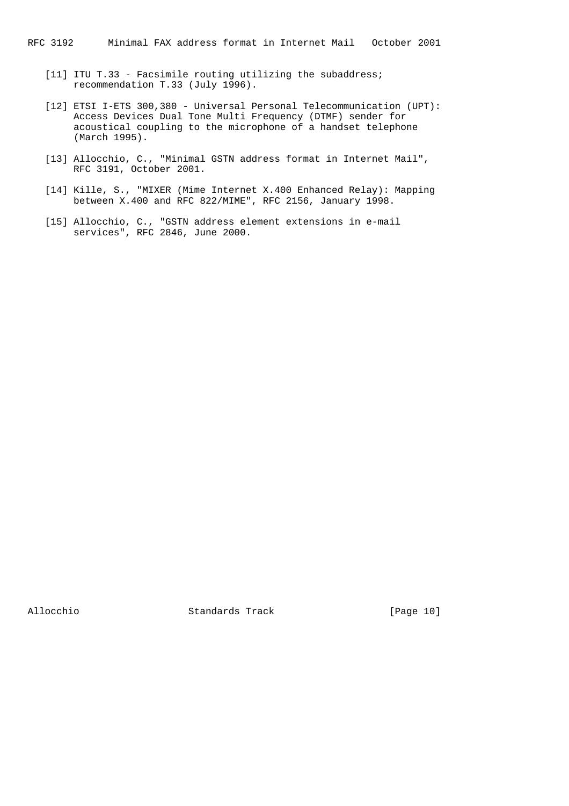- [11] ITU T.33 Facsimile routing utilizing the subaddress; recommendation T.33 (July 1996).
- [12] ETSI I-ETS 300,380 Universal Personal Telecommunication (UPT): Access Devices Dual Tone Multi Frequency (DTMF) sender for acoustical coupling to the microphone of a handset telephone (March 1995).
- [13] Allocchio, C., "Minimal GSTN address format in Internet Mail", RFC 3191, October 2001.
- [14] Kille, S., "MIXER (Mime Internet X.400 Enhanced Relay): Mapping between X.400 and RFC 822/MIME", RFC 2156, January 1998.
- [15] Allocchio, C., "GSTN address element extensions in e-mail services", RFC 2846, June 2000.

Allocchio Standards Track [Page 10]